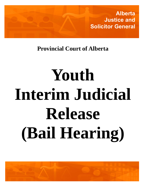**Alberta Justice and Solicitor General**

**Provincial Court of Alberta**

# **Youth Interim Judicial Release (Bail Hearing)**

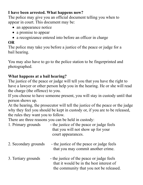### **I have been arrested. What happens now?**

The police may give you an official document telling you when to appear in court. This document may be:

- an appearance notice
- a promise to appear
- a recognizance entered into before an officer in charge

## **OR**

The police may take you before a justice of the peace or judge for a bail hearing.

You may also have to go to the police station to be fingerprinted and photographed.

### **What happens at a bail hearing?**

The justice of the peace or judge will tell you that you have the right to have a lawyer or other person help you in the hearing. He or she will read the charge (the offence) to you.

If you choose to have someone present, you will stay in custody until that person shows up.

At the hearing, the prosecutor will tell the justice of the peace or the judge why they feel you should be kept in custody or, if you are to be released, the rules they want you to follow.

There are three reasons you can be held in custody:

- 1. Primary grounds the justice of the peace or judge feels that you will not show up for your court appearances.
- 2. Secondary grounds the justice of the peace or judge feels that you may commit another crime.
- 3. Tertiary grounds the justice of the peace or judge feels that it would be in the best interest of the community that you not be released.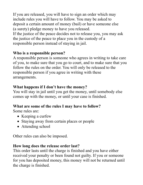If you are released, you will have to sign an order which may include rules you will have to follow. You may be asked to deposit a certain amount of money (bail) or have someone else (a surety) pledge money to have you released. If the justice of the peace decides not to release you, you may ask the justice of the peace to place you in the custody of a responsible person instead of staying in jail.

#### **Who is a responsible person?**

A responsible person is someone who agrees in writing to take care of you, to make sure that you go to court, and to make sure that you follow the rules on the order. You will only be released to the responsible person if you agree in writing with these arrangements.

#### **What happens if I don't have the money?**

You will stay in jail until you get the money, until somebody else comes up with the money, or until your case is finished.

## **What are some of the rules I may have to follow?**

Some rules are:

- Keeping a curfew
- Staying away from certain places or people
- Attending school

Other rules can also be imposed.

### **How long does the release order last?**

This order lasts until the charge is finished and you have either received your penalty or been found not guilty. If you or someone for you has deposited money, this money will not be returned until the charge is finished.